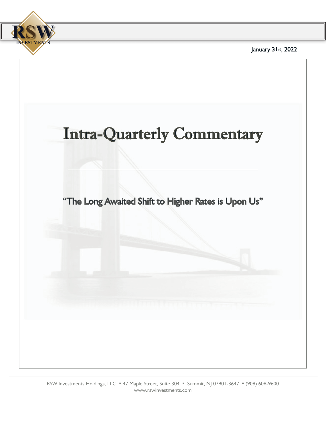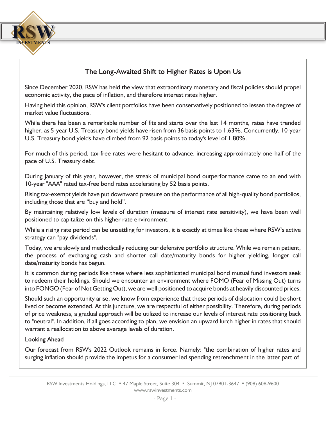

## The Long-Awaited Shift to Higher Rates is Upon Us

Since December 2020, RSW has held the view that extraordinary monetary and fiscal policies should propel economic activity, the pace of inflation, and therefore interest rates higher.

Having held this opinion, RSW's client portfolios have been conservatively positioned to lessen the degree of market value fluctuations.

While there has been a remarkable number of fits and starts over the last 14 months, rates have trended higher, as 5-year U.S. Treasury bond yields have risen from 36 basis points to 1.63%. Concurrently, 10-year U.S. Treasury bond yields have climbed from 92 basis points to today's level of 1.80%.

For much of this period, tax-free rates were hesitant to advance, increasing approximately one-half of the pace of U.S. Treasury debt.

During January of this year, however, the streak of municipal bond outperformance came to an end with 10-year "AAA" rated tax-free bond rates accelerating by 52 basis points.

Rising tax-exempt yields have put downward pressure on the performance of all high-quality bond portfolios, including those that are "buy and hold".

By maintaining relatively low levels of duration (measure of interest rate sensitivity), we have been well positioned to capitalize on this higher rate environment.

While a rising rate period can be unsettling for investors, it is exactly at times like these where RSW's active strategy can "pay dividends".

Today, we are slowly and methodically reducing our defensive portfolio structure. While we remain patient, the process of exchanging cash and shorter call date/maturity bonds for higher yielding, longer call date/maturity bonds has begun.

It is common during periods like these where less sophisticated municipal bond mutual fund investors seek to redeem their holdings. Should we encounter an environment where FOMO (Fear of Missing Out) turns into FONGO (Fear of Not Getting Out), we are well positioned to acquire bonds at heavily discounted prices.

Should such an opportunity arise, we know from experience that these periods of dislocation could be short lived or become extended. At this juncture, we are respectful of either possibility. Therefore, during periods of price weakness, a gradual approach will be utilized to increase our levels of interest rate positioning back to "neutral". In addition, if all goes according to plan, we envision an upward lurch higher in rates that should warrant a reallocation to above average levels of duration.

## **Looking Ahead**

Our forecast from RSW's 2022 Outlook remains in force. Namely: "the combination of higher rates and surging inflation should provide the impetus for a consumer led spending retrenchment in the latter part of